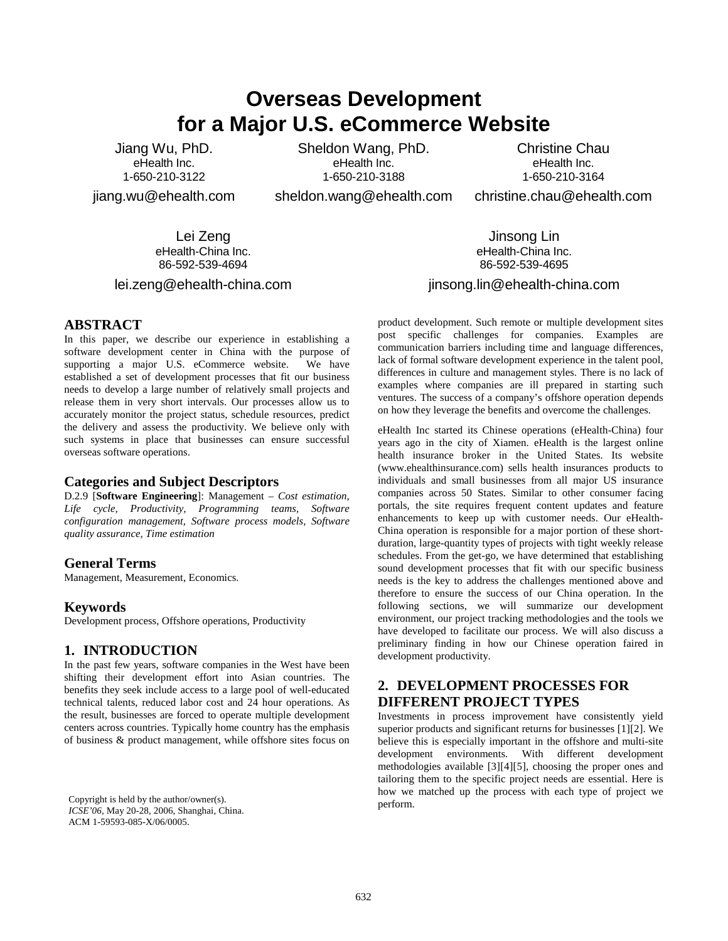# **Overseas Development for a Major U.S. eCommerce Website**

Jiang Wu, PhD. eHealth Inc. 1-650-210-3122

jiang.wu@ehealth.com

Sheldon Wang, PhD. eHealth Inc. 1-650-210-3188

sheldon.wang@ehealth.com

Christine Chau eHealth Inc. 1-650-210-3164

christine.chau@ehealth.com

Lei Zeng eHealth-China Inc. 86-592-539-4694

lei.zeng@ehealth-china.com

**ABSTRACT**

In this paper, we describe our experience in establishing a software development center in China with the purpose of supporting a major U.S. eCommerce website. We have established a set of development processes that fit our business needs to develop a large number of relatively small projects and release them in very short intervals. Our processes allow us to accurately monitor the project status, schedule resources, predict the delivery and assess the productivity. We believe only with such systems in place that businesses can ensure successful overseas software operations.

#### **Categories and Subject Descriptors**

D.2.9 [**Software Engineering**]: Management – *Cost estimation, Life cycle, Productivity, Programming teams, Software configuration management, Software process models, Software quality assurance, Time estimation* 

#### **General Terms**

Management, Measurement, Economics.

#### **Keywords**

Development process, Offshore operations, Productivity

#### **1. INTRODUCTION**

In the past few years, software companies in the West have been shifting their development effort into Asian countries. The benefits they seek include access to a large pool of well-educated technical talents, reduced labor cost and 24 hour operations. As the result, businesses are forced to operate multiple development centers across countries. Typically home country has the emphasis of business & product management, while offshore sites focus on

Copyright is held by the author/owner(s). perform. *ICSE'06*, May 20-28, 2006, Shanghai, China. ACM 1-59593-085-X/06/0005.

eHealth-China Inc. 86-592-539-4695 jinsong.lin@ehealth-china.com

Jinsong Lin

product development. Such remote or multiple development sites post specific challenges for companies. Examples are communication barriers including time and language differences, lack of formal software development experience in the talent pool, differences in culture and management styles. There is no lack of examples where companies are ill prepared in starting such ventures. The success of a company's offshore operation depends on how they leverage the benefits and overcome the challenges.

eHealth Inc started its Chinese operations (eHealth-China) four years ago in the city of Xiamen. eHealth is the largest online health insurance broker in the United States. Its website (www.ehealthinsurance.com) sells health insurances products to individuals and small businesses from all major US insurance companies across 50 States. Similar to other consumer facing portals, the site requires frequent content updates and feature enhancements to keep up with customer needs. Our eHealth-China operation is responsible for a major portion of these shortduration, large-quantity types of projects with tight weekly release schedules. From the get-go, we have determined that establishing sound development processes that fit with our specific business needs is the key to address the challenges mentioned above and therefore to ensure the success of our China operation. In the following sections, we will summarize our development environment, our project tracking methodologies and the tools we have developed to facilitate our process. We will also discuss a preliminary finding in how our Chinese operation faired in development productivity.

# **2. DEVELOPMENT PROCESSES FOR DIFFERENT PROJECT TYPES**

Investments in process improvement have consistently yield superior products and significant returns for businesses [1][2]. We believe this is especially important in the offshore and multi-site development environments. With different development methodologies available [3][4][5], choosing the proper ones and tailoring them to the specific project needs are essential. Here is how we matched up the process with each type of project we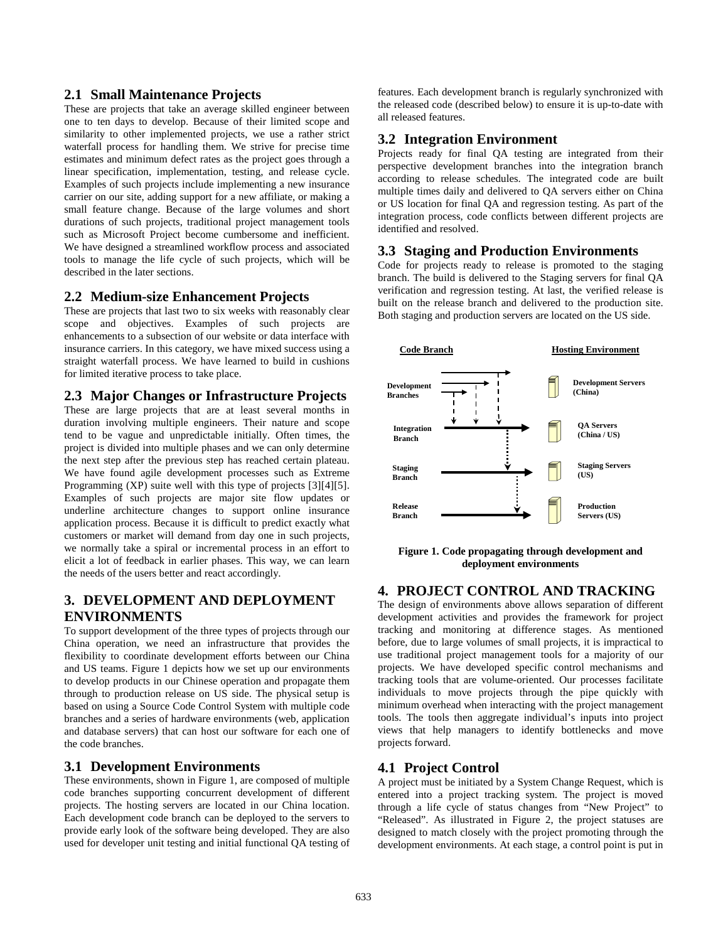## **2.1 Small Maintenance Projects**

These are projects that take an average skilled engineer between one to ten days to develop. Because of their limited scope and similarity to other implemented projects, we use a rather strict waterfall process for handling them. We strive for precise time estimates and minimum defect rates as the project goes through a linear specification, implementation, testing, and release cycle. Examples of such projects include implementing a new insurance carrier on our site, adding support for a new affiliate, or making a small feature change. Because of the large volumes and short durations of such projects, traditional project management tools such as Microsoft Project become cumbersome and inefficient. We have designed a streamlined workflow process and associated tools to manage the life cycle of such projects, which will be described in the later sections.

#### **2.2 Medium-size Enhancement Projects**

These are projects that last two to six weeks with reasonably clear scope and objectives. Examples of such projects are enhancements to a subsection of our website or data interface with insurance carriers. In this category, we have mixed success using a straight waterfall process. We have learned to build in cushions for limited iterative process to take place.

#### **2.3 Major Changes or Infrastructure Projects**

These are large projects that are at least several months in duration involving multiple engineers. Their nature and scope tend to be vague and unpredictable initially. Often times, the project is divided into multiple phases and we can only determine the next step after the previous step has reached certain plateau. We have found agile development processes such as Extreme Programming (XP) suite well with this type of projects [3][4][5]. Examples of such projects are major site flow updates or underline architecture changes to support online insurance application process. Because it is difficult to predict exactly what customers or market will demand from day one in such projects, we normally take a spiral or incremental process in an effort to elicit a lot of feedback in earlier phases. This way, we can learn the needs of the users better and react accordingly.

# **3. DEVELOPMENT AND DEPLOYMENT ENVIRONMENTS**

To support development of the three types of projects through our China operation, we need an infrastructure that provides the flexibility to coordinate development efforts between our China and US teams. Figure 1 depicts how we set up our environments to develop products in our Chinese operation and propagate them through to production release on US side. The physical setup is based on using a Source Code Control System with multiple code branches and a series of hardware environments (web, application and database servers) that can host our software for each one of the code branches.

#### **3.1 Development Environments**

These environments, shown in Figure 1, are composed of multiple code branches supporting concurrent development of different projects. The hosting servers are located in our China location. Each development code branch can be deployed to the servers to provide early look of the software being developed. They are also used for developer unit testing and initial functional QA testing of features. Each development branch is regularly synchronized with the released code (described below) to ensure it is up-to-date with all released features.

#### **3.2 Integration Environment**

Projects ready for final QA testing are integrated from their perspective development branches into the integration branch according to release schedules. The integrated code are built multiple times daily and delivered to QA servers either on China or US location for final QA and regression testing. As part of the integration process, code conflicts between different projects are identified and resolved.

#### **3.3 Staging and Production Environments**

Code for projects ready to release is promoted to the staging branch. The build is delivered to the Staging servers for final QA verification and regression testing. At last, the verified release is built on the release branch and delivered to the production site. Both staging and production servers are located on the US side.



**Figure 1. Code propagating through development and deployment environments**

## **4. PROJECT CONTROL AND TRACKING**

The design of environments above allows separation of different development activities and provides the framework for project tracking and monitoring at difference stages. As mentioned before, due to large volumes of small projects, it is impractical to use traditional project management tools for a majority of our projects. We have developed specific control mechanisms and tracking tools that are volume-oriented. Our processes facilitate individuals to move projects through the pipe quickly with minimum overhead when interacting with the project management tools. The tools then aggregate individual's inputs into project views that help managers to identify bottlenecks and move projects forward.

#### **4.1 Project Control**

A project must be initiated by a System Change Request, which is entered into a project tracking system. The project is moved through a life cycle of status changes from "New Project" to "Released". As illustrated in Figure 2, the project statuses are designed to match closely with the project promoting through the development environments. At each stage, a control point is put in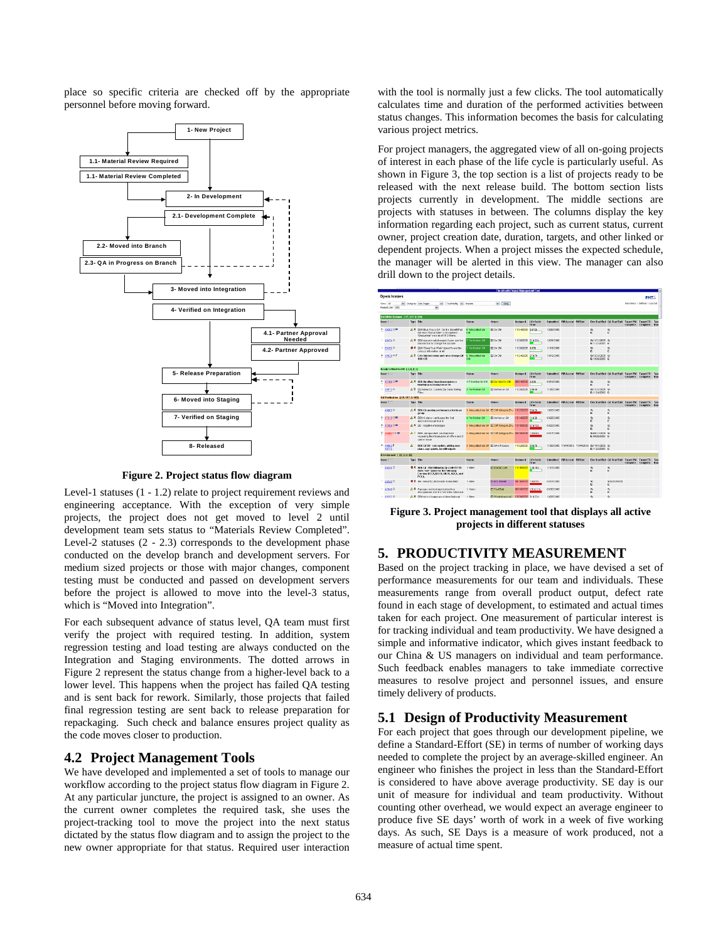place so specific criteria are checked off by the appropriate personnel before moving forward.



**Figure 2. Project status flow diagram**

Level-1 statuses (1 - 1.2) relate to project requirement reviews and engineering acceptance. With the exception of very simple projects, the project does not get moved to level 2 until development team sets status to "Materials Review Completed". Level-2 statuses (2 - 2.3) corresponds to the development phase conducted on the develop branch and development servers. For medium sized projects or those with major changes, component testing must be conducted and passed on development servers before the project is allowed to move into the level-3 status, which is "Moved into Integration".

For each subsequent advance of status level, QA team must first verify the project with required testing. In addition, system regression testing and load testing are always conducted on the Integration and Staging environments. The dotted arrows in Figure 2 represent the status change from a higher-level back to a lower level. This happens when the project has failed QA testing and is sent back for rework. Similarly, those projects that failed final regression testing are sent back to release preparation for repackaging. Such check and balance ensures project quality as the code moves closer to production.

## **4.2 Project Management Tools**

We have developed and implemented a set of tools to manage our workflow according to the project status flow diagram in Figure 2. At any particular juncture, the project is assigned to an owner. As the current owner completes the required task, she uses the project-tracking tool to move the project into the next status dictated by the status flow diagram and to assign the project to the new owner appropriate for that status. Required user interaction

with the tool is normally just a few clicks. The tool automatically calculates time and duration of the performed activities between status changes. This information becomes the basis for calculating various project metrics.

For project managers, the aggregated view of all on-going projects of interest in each phase of the life cycle is particularly useful. As shown in Figure 3, the top section is a list of projects ready to be released with the next release build. The bottom section lists projects currently in development. The middle sections are projects with statuses in between. The columns display the key information regarding each project, such as current status, current owner, project creation date, duration, targets, and other linked or dependent projects. When a project misses the expected schedule, the manager will be alerted in this view. The manager can also drill down to the project details.



**Figure 3. Project management tool that displays all active projects in different statuses** 

## **5. PRODUCTIVITY MEASUREMENT**

Based on the project tracking in place, we have devised a set of performance measurements for our team and individuals. These measurements range from overall product output, defect rate found in each stage of development, to estimated and actual times taken for each project. One measurement of particular interest is for tracking individual and team productivity. We have designed a simple and informative indicator, which gives instant feedback to our China & US managers on individual and team performance. Such feedback enables managers to take immediate corrective measures to resolve project and personnel issues, and ensure timely delivery of products.

# **5.1 Design of Productivity Measurement**

For each project that goes through our development pipeline, we define a Standard-Effort (SE) in terms of number of working days needed to complete the project by an average-skilled engineer. An engineer who finishes the project in less than the Standard-Effort is considered to have above average productivity. SE day is our unit of measure for individual and team productivity. Without counting other overhead, we would expect an average engineer to produce five SE days' worth of work in a week of five working days. As such, SE Days is a measure of work produced, not a measure of actual time spent.